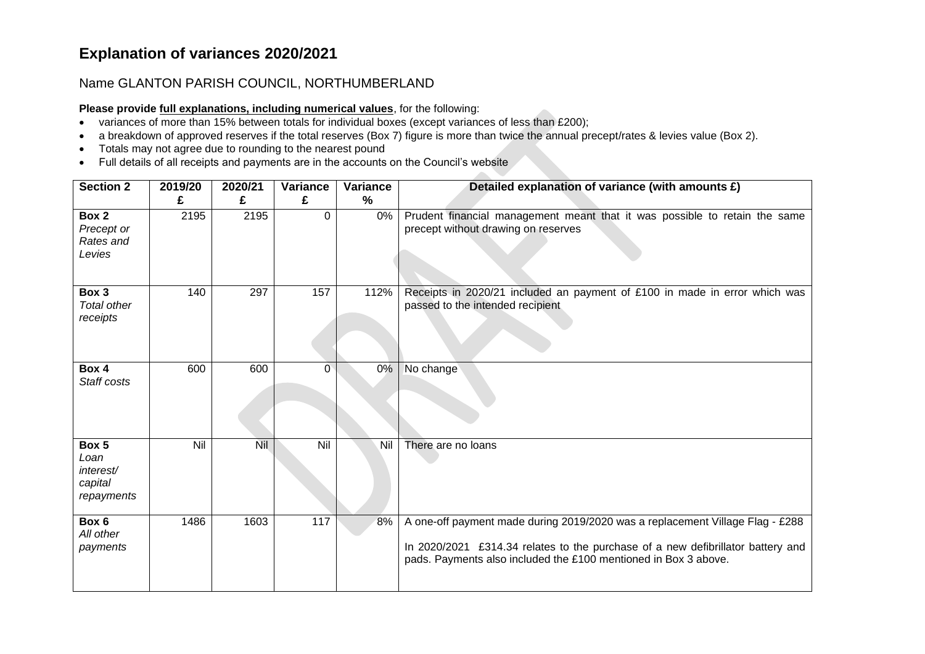## **Explanation of variances 2020/2021**

## Name GLANTON PARISH COUNCIL, NORTHUMBERLAND

## **Please provide full explanations, including numerical values**, for the following:

- variances of more than 15% between totals for individual boxes (except variances of less than £200);
- a breakdown of approved reserves if the total reserves (Box 7) figure is more than twice the annual precept/rates & levies value (Box 2).

 $\mathcal{L}_{\mathcal{M}}$ 

- Totals may not agree due to rounding to the nearest pound
- Full details of all receipts and payments are in the accounts on the Council's website

| <b>Section 2</b>                                    | 2019/20<br>£ | 2020/21<br>£ | <b>Variance</b><br>£ | <b>Variance</b><br>$\frac{0}{0}$ | Detailed explanation of variance (with amounts £)                                                                                                                                                                                   |
|-----------------------------------------------------|--------------|--------------|----------------------|----------------------------------|-------------------------------------------------------------------------------------------------------------------------------------------------------------------------------------------------------------------------------------|
| Box 2<br>Precept or<br>Rates and<br>Levies          | 2195         | 2195         | $\Omega$             | 0%                               | Prudent financial management meant that it was possible to retain the same<br>precept without drawing on reserves                                                                                                                   |
| Box 3<br><b>Total other</b><br>receipts             | 140          | 297          | 157                  | 112%                             | Receipts in 2020/21 included an payment of £100 in made in error which was<br>passed to the intended recipient                                                                                                                      |
| Box 4<br>Staff costs                                | 600          | 600          | $\Omega$             | 0%                               | No change                                                                                                                                                                                                                           |
| Box 5<br>Loan<br>interest/<br>capital<br>repayments | Nil          | <b>Nil</b>   | Nil                  | Nil                              | There are no loans                                                                                                                                                                                                                  |
| Box 6<br>All other<br>payments                      | 1486         | 1603         | 117                  | 8%                               | A one-off payment made during 2019/2020 was a replacement Village Flag - £288<br>In 2020/2021 £314.34 relates to the purchase of a new defibrillator battery and<br>pads. Payments also included the £100 mentioned in Box 3 above. |